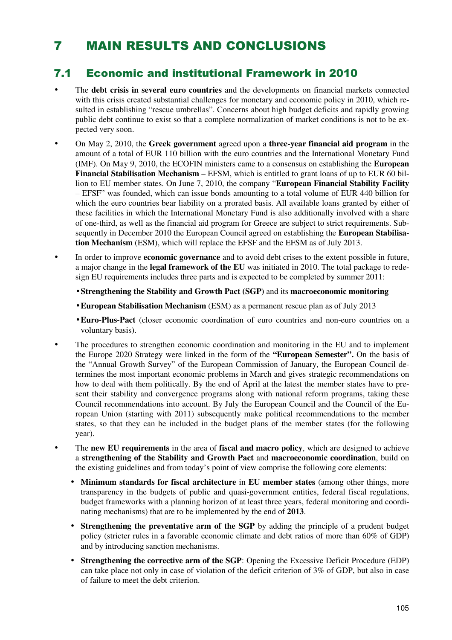# 7 MAIN RESULTS AND CONCLUSIONS

### 7.1 Economic and institutional Framework in 2010

- The **debt crisis in several euro countries** and the developments on financial markets connected with this crisis created substantial challenges for monetary and economic policy in 2010, which resulted in establishing "rescue umbrellas". Concerns about high budget deficits and rapidly growing public debt continue to exist so that a complete normalization of market conditions is not to be expected very soon.
- On May 2, 2010, the **Greek government** agreed upon a **three-year financial aid program** in the amount of a total of EUR 110 billion with the euro countries and the International Monetary Fund (IMF). On May 9, 2010, the ECOFIN ministers came to a consensus on establishing the **European Financial Stabilisation Mechanism** – EFSM, which is entitled to grant loans of up to EUR 60 billion to EU member states. On June 7, 2010, the company "**European Financial Stability Facility** – EFSF" was founded, which can issue bonds amounting to a total volume of EUR 440 billion for which the euro countries bear liability on a prorated basis. All available loans granted by either of these facilities in which the International Monetary Fund is also additionally involved with a share of one-third, as well as the financial aid program for Greece are subject to strict requirements. Subsequently in December 2010 the European Council agreed on establishing the **European Stabilisation Mechanism** (ESM), which will replace the EFSF and the EFSM as of July 2013.
- In order to improve **economic governance** and to avoid debt crises to the extent possible in future, a major change in the **legal framework of the EU** was initiated in 2010. The total package to redesign EU requirements includes three parts and is expected to be completed by summer 2011:
	- **Strengthening the Stability and Growth Pact (SGP)** and its **macroeconomic monitoring**
	- **European Stabilisation Mechanism** (ESM) as a permanent rescue plan as of July 2013
	- **Euro-Plus-Pact** (closer economic coordination of euro countries and non-euro countries on a voluntary basis).
- The procedures to strengthen economic coordination and monitoring in the EU and to implement the Europe 2020 Strategy were linked in the form of the **"European Semester".** On the basis of the "Annual Growth Survey" of the European Commission of January, the European Council determines the most important economic problems in March and gives strategic recommendations on how to deal with them politically. By the end of April at the latest the member states have to present their stability and convergence programs along with national reform programs, taking these Council recommendations into account. By July the European Council and the Council of the European Union (starting with 2011) subsequently make political recommendations to the member states, so that they can be included in the budget plans of the member states (for the following year).
- The **new EU requirements** in the area of **fiscal and macro policy**, which are designed to achieve a **strengthening of the Stability and Growth Pact** and **macroeconomic coordination**, build on the existing guidelines and from today's point of view comprise the following core elements:
	- **Minimum standards for fiscal architecture** in **EU member states** (among other things, more transparency in the budgets of public and quasi-government entities, federal fiscal regulations, budget frameworks with a planning horizon of at least three years, federal monitoring and coordinating mechanisms) that are to be implemented by the end of **2013**.
	- **Strengthening the preventative arm of the SGP** by adding the principle of a prudent budget policy (stricter rules in a favorable economic climate and debt ratios of more than 60% of GDP) and by introducing sanction mechanisms.
	- **Strengthening the corrective arm of the SGP**: Opening the Excessive Deficit Procedure (EDP) can take place not only in case of violation of the deficit criterion of 3% of GDP, but also in case of failure to meet the debt criterion.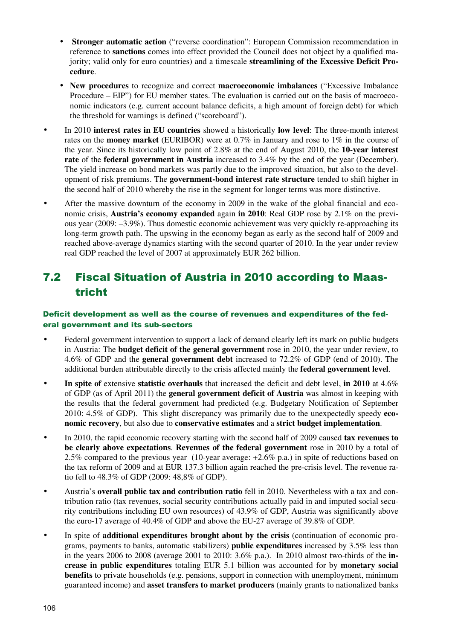- **Stronger automatic action** ("reverse coordination": European Commission recommendation in reference to **sanctions** comes into effect provided the Council does not object by a qualified majority; valid only for euro countries) and a timescale **streamlining of the Excessive Deficit Procedure**.
- **New procedures** to recognize and correct **macroeconomic imbalances** ("Excessive Imbalance Procedure – EIP") for EU member states. The evaluation is carried out on the basis of macroeconomic indicators (e.g. current account balance deficits, a high amount of foreign debt) for which the threshold for warnings is defined ("scoreboard").
- In 2010 **interest rates in EU countries** showed a historically **low level**: The three-month interest rates on the **money market** (EURIBOR) were at 0.7% in January and rose to 1% in the course of the year. Since its historically low point of 2.8% at the end of August 2010, the **10-year interest rate** of the **federal government in Austria** increased to 3.4% by the end of the year (December). The yield increase on bond markets was partly due to the improved situation, but also to the development of risk premiums. The **government-bond interest rate structure** tended to shift higher in the second half of 2010 whereby the rise in the segment for longer terms was more distinctive.
- After the massive downturn of the economy in 2009 in the wake of the global financial and economic crisis, **Austria's economy expanded** again **in 2010**: Real GDP rose by 2.1% on the previous year (2009: –3.9%). Thus domestic economic achievement was very quickly re-approaching its long-term growth path. The upswing in the economy began as early as the second half of 2009 and reached above-average dynamics starting with the second quarter of 2010. In the year under review real GDP reached the level of 2007 at approximately EUR 262 billion.

### 7.2 Fiscal Situation of Austria in 2010 according to Maastricht

#### Deficit development as well as the course of revenues and expenditures of the federal government and its sub-sectors

- Federal government intervention to support a lack of demand clearly left its mark on public budgets in Austria: The **budget deficit of the general government** rose in 2010, the year under review, to 4.6% of GDP and the **general government debt** increased to 72.2% of GDP (end of 2010). The additional burden attributable directly to the crisis affected mainly the **federal government level**.
- **In spite of** extensive **statistic overhauls** that increased the deficit and debt level, **in 2010** at 4.6% of GDP (as of April 2011) the **general government deficit of Austria** was almost in keeping with the results that the federal government had predicted (e.g. Budgetary Notification of September 2010: 4.5% of GDP). This slight discrepancy was primarily due to the unexpectedly speedy **economic recovery**, but also due to **conservative estimates** and a **strict budget implementation**.
- In 2010, the rapid economic recovery starting with the second half of 2009 caused **tax revenues to be clearly above expectations**. **Revenues of the federal government** rose in 2010 by a total of 2.5% compared to the previous year (10-year average: +2.6% p.a.) in spite of reductions based on the tax reform of 2009 and at EUR 137.3 billion again reached the pre-crisis level. The revenue ratio fell to 48.3% of GDP (2009: 48,8% of GDP).
- Austria's **overall public tax and contribution ratio** fell in 2010. Nevertheless with a tax and contribution ratio (tax revenues, social security contributions actually paid in and imputed social security contributions including EU own resources) of 43.9% of GDP, Austria was significantly above the euro-17 average of 40.4% of GDP and above the EU-27 average of 39.8% of GDP.
- In spite of **additional expenditures brought about by the crisis** (continuation of economic programs, payments to banks, automatic stabilizers) **public expenditures** increased by 3.5% less than in the years 2006 to 2008 (average 2001 to 2010: 3.6% p.a.). In 2010 almost two-thirds of the **increase in public expenditures** totaling EUR 5.1 billion was accounted for by **monetary social benefits** to private households (e.g. pensions, support in connection with unemployment, minimum guaranteed income) and **asset transfers to market producers** (mainly grants to nationalized banks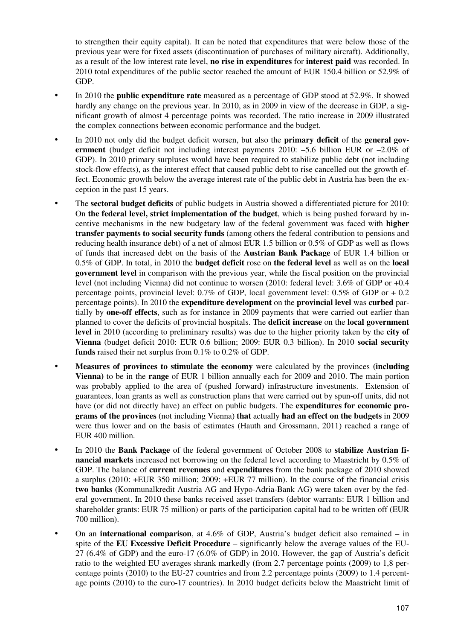to strengthen their equity capital). It can be noted that expenditures that were below those of the previous year were for fixed assets (discontinuation of purchases of military aircraft). Additionally, as a result of the low interest rate level, **no rise in expenditures** for **interest paid** was recorded. In 2010 total expenditures of the public sector reached the amount of EUR 150.4 billion or 52.9% of GDP.

- In 2010 the **public expenditure rate** measured as a percentage of GDP stood at 52.9%. It showed hardly any change on the previous year. In 2010, as in 2009 in view of the decrease in GDP, a significant growth of almost 4 percentage points was recorded. The ratio increase in 2009 illustrated the complex connections between economic performance and the budget.
- In 2010 not only did the budget deficit worsen, but also the **primary deficit** of the **general government** (budget deficit not including interest payments 2010: –5.6 billion EUR or –2.0% of GDP). In 2010 primary surpluses would have been required to stabilize public debt (not including stock-flow effects), as the interest effect that caused public debt to rise cancelled out the growth effect. Economic growth below the average interest rate of the public debt in Austria has been the exception in the past 15 years.
- The **sectoral budget deficits** of public budgets in Austria showed a differentiated picture for 2010: On **the federal level, strict implementation of the budget**, which is being pushed forward by incentive mechanisms in the new budgetary law of the federal government was faced with **higher transfer payments to social security funds** (among others the federal contribution to pensions and reducing health insurance debt) of a net of almost EUR 1.5 billion or 0.5% of GDP as well as flows of funds that increased debt on the basis of the **Austrian Bank Package** of EUR 1.4 billion or 0.5% of GDP. In total, in 2010 the **budget deficit** rose on **the federal level** as well as on the **local government level** in comparison with the previous year, while the fiscal position on the provincial level (not including Vienna) did not continue to worsen (2010: federal level: 3.6% of GDP or +0.4 percentage points, provincial level:  $0.7\%$  of GDP, local government level:  $0.5\%$  of GDP or  $+0.2$ percentage points). In 2010 the **expenditure development** on the **provincial level** was **curbed** partially by **one-off effects**, such as for instance in 2009 payments that were carried out earlier than planned to cover the deficits of provincial hospitals. The **deficit increase** on the **local government level** in 2010 (according to preliminary results) was due to the higher priority taken by the **city of Vienna** (budget deficit 2010: EUR 0.6 billion; 2009: EUR 0.3 billion). In 2010 **social security funds** raised their net surplus from 0.1% to 0.2% of GDP.
- **Measures of provinces to stimulate the economy** were calculated by the provinces **(including Vienna)** to be in the **range** of EUR 1 billion annually each for 2009 and 2010. The main portion was probably applied to the area of (pushed forward) infrastructure investments. Extension of guarantees, loan grants as well as construction plans that were carried out by spun-off units, did not have (or did not directly have) an effect on public budgets. The **expenditures for economic programs of the provinces** (not including Vienna) **that** actually **had an effect on the budgets** in 2009 were thus lower and on the basis of estimates (Hauth and Grossmann, 2011) reached a range of EUR 400 million.
- In 2010 the **Bank Package** of the federal government of October 2008 to **stabilize Austrian financial markets** increased net borrowing on the federal level according to Maastricht by 0.5% of GDP. The balance of **current revenues** and **expenditures** from the bank package of 2010 showed a surplus (2010: +EUR 350 million; 2009: +EUR 77 million). In the course of the financial crisis **two banks** (Kommunalkredit Austria AG and Hypo-Adria-Bank AG) were taken over by the federal government. In 2010 these banks received asset transfers (debtor warrants: EUR 1 billion and shareholder grants: EUR 75 million) or parts of the participation capital had to be written off (EUR 700 million).
- On an **international comparison**, at 4.6% of GDP, Austria's budget deficit also remained in spite of the **EU Excessive Deficit Procedure** – significantly below the average values of the EU- $27(6.4\% \text{ of GDP})$  and the euro-17 (6.0% of GDP) in 2010. However, the gap of Austria's deficit ratio to the weighted EU averages shrank markedly (from 2.7 percentage points (2009) to 1,8 percentage points (2010) to the EU-27 countries and from 2.2 percentage points (2009) to 1.4 percentage points (2010) to the euro-17 countries). In 2010 budget deficits below the Maastricht limit of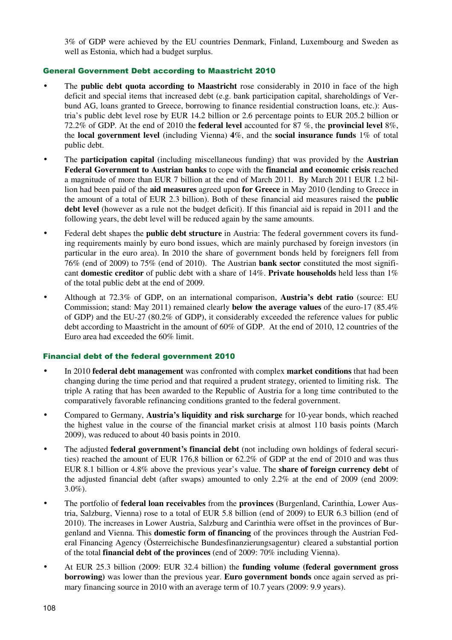3% of GDP were achieved by the EU countries Denmark, Finland, Luxembourg and Sweden as well as Estonia, which had a budget surplus.

#### General Government Debt according to Maastricht 2010

- The **public debt quota according to Maastricht** rose considerably in 2010 in face of the high deficit and special items that increased debt (e.g. bank participation capital, shareholdings of Verbund AG, loans granted to Greece, borrowing to finance residential construction loans, etc.): Austria's public debt level rose by EUR 14.2 billion or 2.6 percentage points to EUR 205.2 billion or 72.2% of GDP. At the end of 2010 the **federal level** accounted for 87 %, the **provincial level** 8%, the **local government level** (including Vienna) **4**%, and the **social insurance funds** 1% of total public debt.
- The **participation capital** (including miscellaneous funding) that was provided by the **Austrian Federal Government to Austrian banks** to cope with the **financial and economic crisis** reached a magnitude of more than EUR 7 billion at the end of March 2011. By March 2011 EUR 1.2 billion had been paid of the **aid measures** agreed upon **for Greece** in May 2010 (lending to Greece in the amount of a total of EUR 2.3 billion). Both of these financial aid measures raised the **public debt level** (however as a rule not the budget deficit). If this financial aid is repaid in 2011 and the following years, the debt level will be reduced again by the same amounts.
- Federal debt shapes the **public debt structure** in Austria: The federal government covers its funding requirements mainly by euro bond issues, which are mainly purchased by foreign investors (in particular in the euro area). In 2010 the share of government bonds held by foreigners fell from 76% (end of 2009) to 75% (end of 2010). The Austrian **bank sector** constituted the most significant **domestic creditor** of public debt with a share of 14%. **Private households** held less than 1% of the total public debt at the end of 2009.
- Although at 72.3% of GDP, on an international comparison, **Austria's debt ratio** (source: EU Commission; stand: May 2011) remained clearly **below the average values** of the euro-17 (85.4% of GDP) and the EU-27 (80.2% of GDP), it considerably exceeded the reference values for public debt according to Maastricht in the amount of 60% of GDP. At the end of 2010, 12 countries of the Euro area had exceeded the 60% limit.

#### Financial debt of the federal government 2010

- In 2010 **federal debt management** was confronted with complex **market conditions** that had been changing during the time period and that required a prudent strategy, oriented to limiting risk. The triple A rating that has been awarded to the Republic of Austria for a long time contributed to the comparatively favorable refinancing conditions granted to the federal government.
- Compared to Germany, **Austria's liquidity and risk surcharge** for 10-year bonds, which reached the highest value in the course of the financial market crisis at almost 110 basis points (March 2009), was reduced to about 40 basis points in 2010.
- The adjusted **federal government's financial debt** (not including own holdings of federal securities) reached the amount of EUR 176,8 billion or 62.2% of GDP at the end of 2010 and was thus EUR 8.1 billion or 4.8% above the previous year's value. The **share of foreign currency debt** of the adjusted financial debt (after swaps) amounted to only 2.2% at the end of 2009 (end 2009: 3.0%).
- The portfolio of **federal loan receivables** from the **provinces** (Burgenland, Carinthia, Lower Austria, Salzburg, Vienna) rose to a total of EUR 5.8 billion (end of 2009) to EUR 6.3 billion (end of 2010). The increases in Lower Austria, Salzburg and Carinthia were offset in the provinces of Burgenland and Vienna. This **domestic form of financing** of the provinces through the Austrian Federal Financing Agency (Österreichische Bundesfinanzierungsagentur) cleared a substantial portion of the total **financial debt of the provinces** (end of 2009: 70% including Vienna).
- At EUR 25.3 billion (2009: EUR 32.4 billion) the **funding volume (federal government gross borrowing)** was lower than the previous year. **Euro government bonds** once again served as primary financing source in 2010 with an average term of 10.7 years (2009: 9.9 years).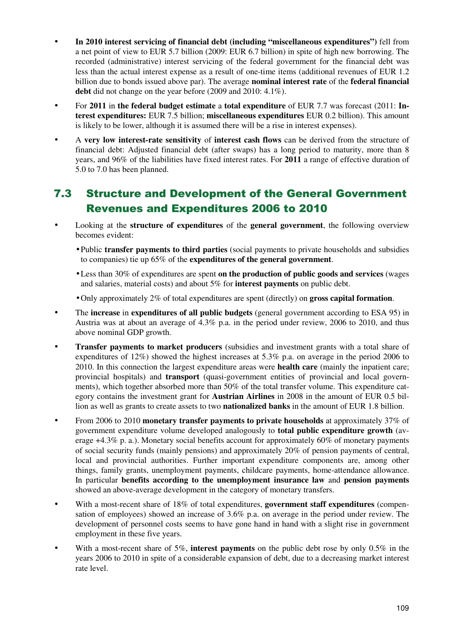- **In 2010 interest servicing of financial debt (including "miscellaneous expenditures")** fell from a net point of view to EUR 5.7 billion (2009: EUR 6.7 billion) in spite of high new borrowing. The recorded (administrative) interest servicing of the federal government for the financial debt was less than the actual interest expense as a result of one-time items (additional revenues of EUR 1.2 billion due to bonds issued above par). The average **nominal interest rate** of the **federal financial debt** did not change on the year before (2009 and 2010: 4.1%).
- For 2011 in the federal budget estimate a total expenditure of EUR 7.7 was forecast (2011: In**terest expenditures:** EUR 7.5 billion; **miscellaneous expenditures** EUR 0.2 billion). This amount is likely to be lower, although it is assumed there will be a rise in interest expenses).
- A **very low interest-rate sensitivity** of **interest cash flows** can be derived from the structure of financial debt: Adjusted financial debt (after swaps) has a long period to maturity, more than 8 years, and 96% of the liabilities have fixed interest rates. For **2011** a range of effective duration of 5.0 to 7.0 has been planned.

### 7.3 Structure and Development of the General Government Revenues and Expenditures 2006 to 2010

- Looking at the **structure of expenditures** of the **general government**, the following overview becomes evident:
	- Public **transfer payments to third parties** (social payments to private households and subsidies to companies) tie up 65% of the **expenditures of the general government**.
	- Less than 30% of expenditures are spent **on the production of public goods and services** (wages and salaries, material costs) and about 5% for **interest payments** on public debt.
	- Only approximately 2% of total expenditures are spent (directly) on **gross capital formation**.
- The **increase** in **expenditures of all public budgets** (general government according to ESA 95) in Austria was at about an average of 4.3% p.a. in the period under review, 2006 to 2010, and thus above nominal GDP growth.
- **Transfer payments to market producers** (subsidies and investment grants with a total share of expenditures of 12%) showed the highest increases at 5.3% p.a. on average in the period 2006 to 2010. In this connection the largest expenditure areas were **health care** (mainly the inpatient care; provincial hospitals) and **transport** (quasi-government entities of provincial and local governments), which together absorbed more than 50% of the total transfer volume. This expenditure category contains the investment grant for **Austrian Airlines** in 2008 in the amount of EUR 0.5 billion as well as grants to create assets to two **nationalized banks** in the amount of EUR 1.8 billion.
- From 2006 to 2010 **monetary transfer payments to private households** at approximately 37% of government expenditure volume developed analogously to **total public expenditure growth** (average +4.3% p. a.). Monetary social benefits account for approximately 60% of monetary payments of social security funds (mainly pensions) and approximately 20% of pension payments of central, local and provincial authorities. Further important expenditure components are, among other things, family grants, unemployment payments, childcare payments, home-attendance allowance. In particular **benefits according to the unemployment insurance law** and **pension payments**  showed an above-average development in the category of monetary transfers.
- With a most-recent share of 18% of total expenditures, **government staff expenditures** (compensation of employees) showed an increase of 3.6% p.a. on average in the period under review. The development of personnel costs seems to have gone hand in hand with a slight rise in government employment in these five years.
- With a most-recent share of 5%, **interest payments** on the public debt rose by only 0.5% in the years 2006 to 2010 in spite of a considerable expansion of debt, due to a decreasing market interest rate level.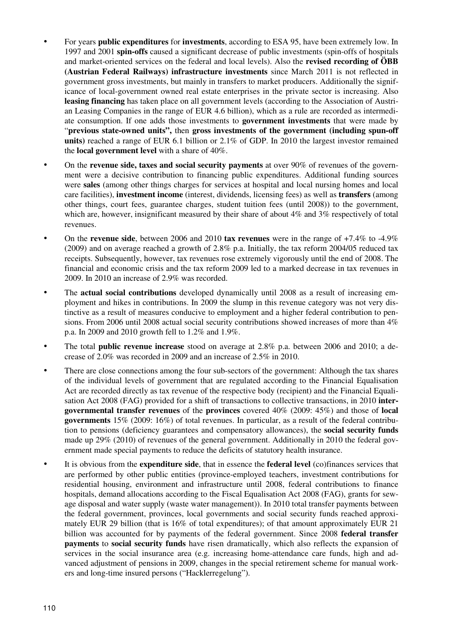- For years **public expenditures** for **investments**, according to ESA 95, have been extremely low. In 1997 and 2001 **spin-offs** caused a significant decrease of public investments (spin-offs of hospitals and market-oriented services on the federal and local levels). Also the **revised recording of ÖBB (Austrian Federal Railways) infrastructure investments** since March 2011 is not reflected in government gross investments, but mainly in transfers to market producers. Additionally the significance of local-government owned real estate enterprises in the private sector is increasing. Also **leasing financing** has taken place on all government levels (according to the Association of Austrian Leasing Companies in the range of EUR 4.6 billion), which as a rule are recorded as intermediate consumption. If one adds those investments to **government investments** that were made by "**previous state-owned units",** then **gross investments of the government (including spun-off units)** reached a range of EUR 6.1 billion or 2.1% of GDP. In 2010 the largest investor remained the **local government level** with a share of 40%.
- On the **revenue side, taxes and social security payments** at over 90% of revenues of the government were a decisive contribution to financing public expenditures. Additional funding sources were **sales** (among other things charges for services at hospital and local nursing homes and local care facilities), **investment income** (interest, dividends, licensing fees) as well as **transfers** (among other things, court fees, guarantee charges, student tuition fees (until 2008)) to the government, which are, however, insignificant measured by their share of about  $4\%$  and  $3\%$  respectively of total revenues.
- On the **revenue side**, between 2006 and 2010 **tax revenues** were in the range of +7.4% to -4.9% (2009) and on average reached a growth of 2.8% p.a. Initially, the tax reform 2004/05 reduced tax receipts. Subsequently, however, tax revenues rose extremely vigorously until the end of 2008. The financial and economic crisis and the tax reform 2009 led to a marked decrease in tax revenues in 2009. In 2010 an increase of 2.9% was recorded.
- The **actual social contributions** developed dynamically until 2008 as a result of increasing employment and hikes in contributions. In 2009 the slump in this revenue category was not very distinctive as a result of measures conducive to employment and a higher federal contribution to pensions. From 2006 until 2008 actual social security contributions showed increases of more than 4% p.a. In 2009 and 2010 growth fell to 1.2% and 1.9%.
- The total **public revenue increase** stood on average at 2.8% p.a. between 2006 and 2010; a decrease of 2.0% was recorded in 2009 and an increase of 2.5% in 2010.
- There are close connections among the four sub-sectors of the government: Although the tax shares of the individual levels of government that are regulated according to the Financial Equalisation Act are recorded directly as tax revenue of the respective body (recipient) and the Financial Equalisation Act 2008 (FAG) provided for a shift of transactions to collective transactions, in 2010 **intergovernmental transfer revenues** of the **provinces** covered 40% (2009: 45%) and those of **local governments** 15% (2009: 16%) of total revenues. In particular, as a result of the federal contribution to pensions (deficiency guarantees and compensatory allowances), the **social security funds**  made up 29% (2010) of revenues of the general government. Additionally in 2010 the federal government made special payments to reduce the deficits of statutory health insurance.
- It is obvious from the **expenditure side**, that in essence the **federal level** (co)finances services that are performed by other public entities (province-employed teachers, investment contributions for residential housing, environment and infrastructure until 2008, federal contributions to finance hospitals, demand allocations according to the Fiscal Equalisation Act 2008 (FAG), grants for sewage disposal and water supply (waste water management)). In 2010 total transfer payments between the federal government, provinces, local governments and social security funds reached approximately EUR 29 billion (that is 16% of total expenditures); of that amount approximately EUR 21 billion was accounted for by payments of the federal government. Since 2008 **federal transfer payments** to **social security funds** have risen dramatically, which also reflects the expansion of services in the social insurance area (e.g. increasing home-attendance care funds, high and advanced adjustment of pensions in 2009, changes in the special retirement scheme for manual workers and long-time insured persons ("Hacklerregelung").